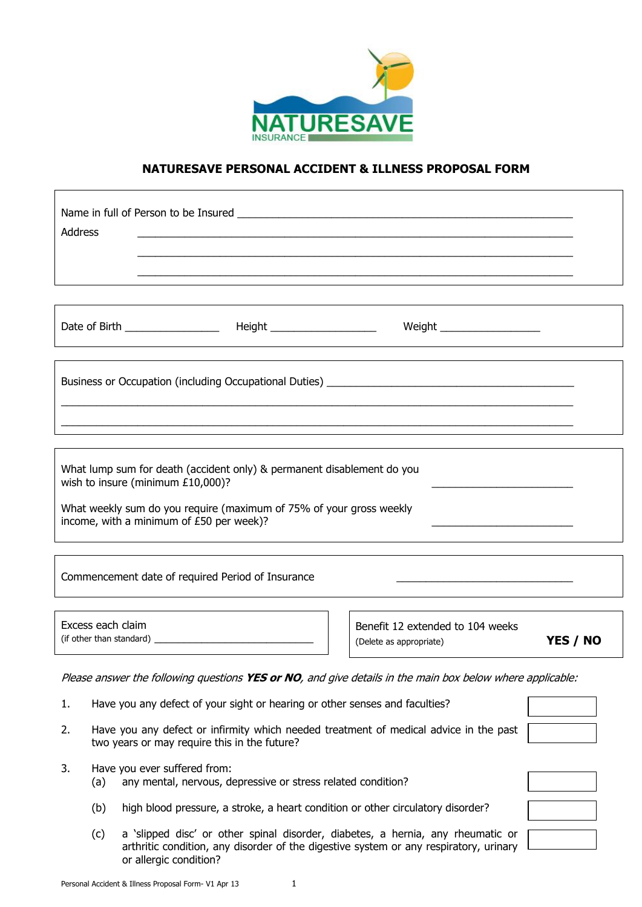

## **NATURESAVE PERSONAL ACCIDENT & ILLNESS PROPOSAL FORM**

| <b>Address</b>                                                                                                                              |                                                                                                                                                                                                                                |          |  |  |  |
|---------------------------------------------------------------------------------------------------------------------------------------------|--------------------------------------------------------------------------------------------------------------------------------------------------------------------------------------------------------------------------------|----------|--|--|--|
|                                                                                                                                             |                                                                                                                                                                                                                                |          |  |  |  |
|                                                                                                                                             |                                                                                                                                                                                                                                |          |  |  |  |
| Business or Occupation (including Occupational Duties) [1982] [2002] [2003] [2003] [2003] [2003] [2003] [2003]                              |                                                                                                                                                                                                                                |          |  |  |  |
|                                                                                                                                             |                                                                                                                                                                                                                                |          |  |  |  |
|                                                                                                                                             |                                                                                                                                                                                                                                |          |  |  |  |
|                                                                                                                                             | What lump sum for death (accident only) & permanent disablement do you<br>wish to insure (minimum £10,000)?<br>What weekly sum do you require (maximum of 75% of your gross weekly<br>income, with a minimum of £50 per week)? |          |  |  |  |
|                                                                                                                                             | Commencement date of required Period of Insurance                                                                                                                                                                              |          |  |  |  |
|                                                                                                                                             | Excess each claim<br>Benefit 12 extended to 104 weeks<br>(Delete as appropriate)                                                                                                                                               | YES / NO |  |  |  |
|                                                                                                                                             | Please answer the following questions YES or NO, and give details in the main box below where applicable:                                                                                                                      |          |  |  |  |
| Have you any defect of your sight or hearing or other senses and faculties?<br>1.                                                           |                                                                                                                                                                                                                                |          |  |  |  |
| Have you any defect or infirmity which needed treatment of medical advice in the past<br>2.<br>two years or may require this in the future? |                                                                                                                                                                                                                                |          |  |  |  |
| 3.                                                                                                                                          | Have you ever suffered from:<br>any mental, nervous, depressive or stress related condition?<br>(a)                                                                                                                            |          |  |  |  |
|                                                                                                                                             | high blood pressure, a stroke, a heart condition or other circulatory disorder?<br>(b)                                                                                                                                         |          |  |  |  |
| a 'slipped disc' or other spinal disorder, diabetes, a hernia, any rheumatic or<br>(c)                                                      |                                                                                                                                                                                                                                |          |  |  |  |

or allergic condition?

arthritic condition, any disorder of the digestive system or any respiratory, urinary